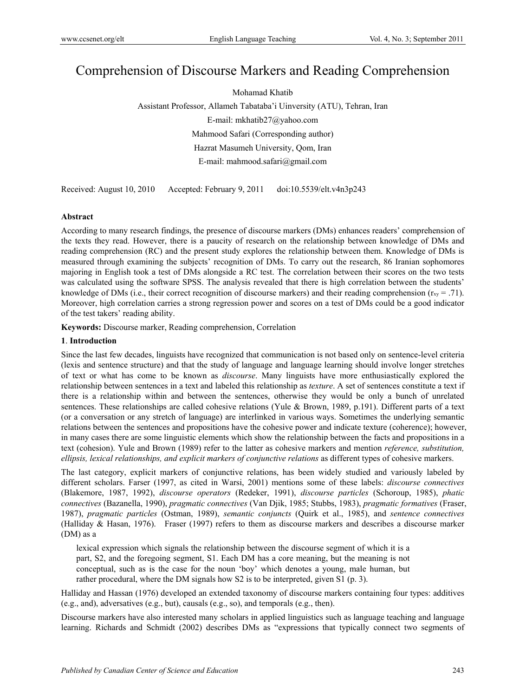# Comprehension of Discourse Markers and Reading Comprehension

Mohamad Khatib Assistant Professor, Allameh Tabataba'i Uinversity (ATU), Tehran, Iran E-mail: mkhatib27@yahoo.com Mahmood Safari (Corresponding author) Hazrat Masumeh University, Qom, Iran E-mail: mahmood.safari@gmail.com

Received: August 10, 2010 Accepted: February 9, 2011 doi:10.5539/elt.v4n3p243

## **Abstract**

According to many research findings, the presence of discourse markers (DMs) enhances readers' comprehension of the texts they read. However, there is a paucity of research on the relationship between knowledge of DMs and reading comprehension (RC) and the present study explores the relationship between them. Knowledge of DMs is measured through examining the subjects' recognition of DMs. To carry out the research, 86 Iranian sophomores majoring in English took a test of DMs alongside a RC test. The correlation between their scores on the two tests was calculated using the software SPSS. The analysis revealed that there is high correlation between the students' knowledge of DMs (i.e., their correct recognition of discourse markers) and their reading comprehension ( $r_{xy} = .71$ ). Moreover, high correlation carries a strong regression power and scores on a test of DMs could be a good indicator of the test takers' reading ability.

**Keywords:** Discourse marker, Reading comprehension, Correlation

#### **1**. **Introduction**

Since the last few decades, linguists have recognized that communication is not based only on sentence-level criteria (lexis and sentence structure) and that the study of language and language learning should involve longer stretches of text or what has come to be known as *discourse*. Many linguists have more enthusiastically explored the relationship between sentences in a text and labeled this relationship as *texture*. A set of sentences constitute a text if there is a relationship within and between the sentences, otherwise they would be only a bunch of unrelated sentences. These relationships are called cohesive relations (Yule & Brown, 1989, p.191). Different parts of a text (or a conversation or any stretch of language) are interlinked in various ways. Sometimes the underlying semantic relations between the sentences and propositions have the cohesive power and indicate texture (coherence); however, in many cases there are some linguistic elements which show the relationship between the facts and propositions in a text (cohesion). Yule and Brown (1989) refer to the latter as cohesive markers and mention *reference, substitution, ellipsis, lexical relationships, and explicit markers of conjunctive relations* as different types of cohesive markers.

The last category, explicit markers of conjunctive relations, has been widely studied and variously labeled by different scholars. Farser (1997, as cited in Warsi, 2001) mentions some of these labels: *discourse connectives* (Blakemore, 1987, 1992), *discourse operators* (Redeker, 1991), *discourse particles* (Schoroup, 1985), *phatic connectives* (Bazanella, 1990), *pragmatic connectives* (Van Djik, 1985; Stubbs, 1983), *pragmatic formatives* (Fraser, 1987), *pragmatic particles* (Ostman, 1989), *semantic conjuncts* (Quirk et al., 1985), and *sentence connectives* (Halliday & Hasan, 1976). Fraser (1997) refers to them as discourse markers and describes a discourse marker (DM) as a

lexical expression which signals the relationship between the discourse segment of which it is a part, S2, and the foregoing segment, S1. Each DM has a core meaning, but the meaning is not conceptual, such as is the case for the noun 'boy' which denotes a young, male human, but rather procedural, where the DM signals how S2 is to be interpreted, given S1 (p. 3).

Halliday and Hassan (1976) developed an extended taxonomy of discourse markers containing four types: additives (e.g., and), adversatives (e.g., but), causals (e.g., so), and temporals (e.g., then).

Discourse markers have also interested many scholars in applied linguistics such as language teaching and language learning. Richards and Schmidt (2002) describes DMs as "expressions that typically connect two segments of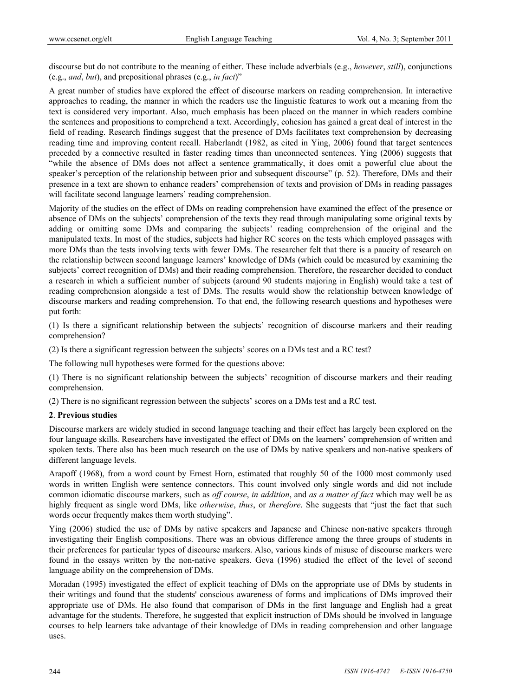discourse but do not contribute to the meaning of either. These include adverbials (e.g., *however*, *still*), conjunctions (e.g., *and*, *but*), and prepositional phrases (e.g., *in fact*)"

A great number of studies have explored the effect of discourse markers on reading comprehension. In interactive approaches to reading, the manner in which the readers use the linguistic features to work out a meaning from the text is considered very important. Also, much emphasis has been placed on the manner in which readers combine the sentences and propositions to comprehend a text. Accordingly, cohesion has gained a great deal of interest in the field of reading. Research findings suggest that the presence of DMs facilitates text comprehension by decreasing reading time and improving content recall. Haberlandt (1982, as cited in Ying, 2006) found that target sentences preceded by a connective resulted in faster reading times than unconnected sentences. Ying (2006) suggests that "while the absence of DMs does not affect a sentence grammatically, it does omit a powerful clue about the speaker's perception of the relationship between prior and subsequent discourse" (p. 52). Therefore, DMs and their presence in a text are shown to enhance readers' comprehension of texts and provision of DMs in reading passages will facilitate second language learners' reading comprehension.

Majority of the studies on the effect of DMs on reading comprehension have examined the effect of the presence or absence of DMs on the subjects' comprehension of the texts they read through manipulating some original texts by adding or omitting some DMs and comparing the subjects' reading comprehension of the original and the manipulated texts. In most of the studies, subjects had higher RC scores on the tests which employed passages with more DMs than the tests involving texts with fewer DMs. The researcher felt that there is a paucity of research on the relationship between second language learners' knowledge of DMs (which could be measured by examining the subjects' correct recognition of DMs) and their reading comprehension. Therefore, the researcher decided to conduct a research in which a sufficient number of subjects (around 90 students majoring in English) would take a test of reading comprehension alongside a test of DMs. The results would show the relationship between knowledge of discourse markers and reading comprehension. To that end, the following research questions and hypotheses were put forth:

(1) Is there a significant relationship between the subjects' recognition of discourse markers and their reading comprehension?

(2) Is there a significant regression between the subjects' scores on a DMs test and a RC test?

The following null hypotheses were formed for the questions above:

(1) There is no significant relationship between the subjects' recognition of discourse markers and their reading comprehension.

(2) There is no significant regression between the subjects' scores on a DMs test and a RC test.

#### **2**. **Previous studies**

Discourse markers are widely studied in second language teaching and their effect has largely been explored on the four language skills. Researchers have investigated the effect of DMs on the learners' comprehension of written and spoken texts. There also has been much research on the use of DMs by native speakers and non-native speakers of different language levels.

Arapoff (1968), from a word count by Ernest Horn, estimated that roughly 50 of the 1000 most commonly used words in written English were sentence connectors. This count involved only single words and did not include common idiomatic discourse markers, such as *off course*, *in addition*, and *as a matter of fact* which may well be as highly frequent as single word DMs, like *otherwise*, *thus*, or *therefore*. She suggests that "just the fact that such words occur frequently makes them worth studying".

Ying (2006) studied the use of DMs by native speakers and Japanese and Chinese non-native speakers through investigating their English compositions. There was an obvious difference among the three groups of students in their preferences for particular types of discourse markers. Also, various kinds of misuse of discourse markers were found in the essays written by the non-native speakers. Geva (1996) studied the effect of the level of second language ability on the comprehension of DMs.

Moradan (1995) investigated the effect of explicit teaching of DMs on the appropriate use of DMs by students in their writings and found that the students' conscious awareness of forms and implications of DMs improved their appropriate use of DMs. He also found that comparison of DMs in the first language and English had a great advantage for the students. Therefore, he suggested that explicit instruction of DMs should be involved in language courses to help learners take advantage of their knowledge of DMs in reading comprehension and other language uses.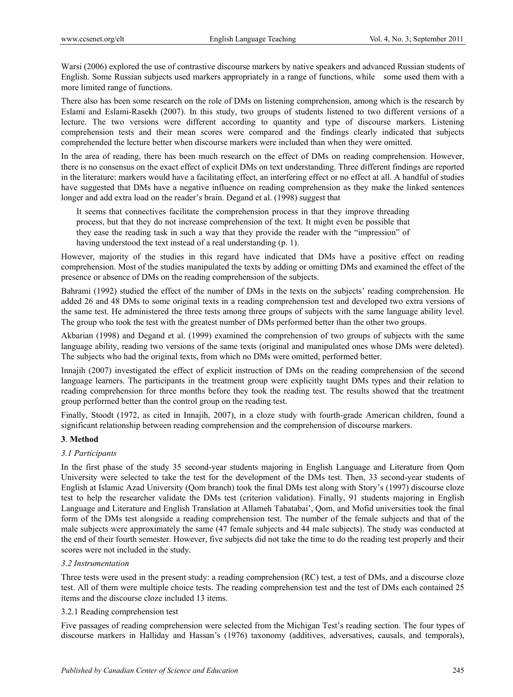Warsi (2006) explored the use of contrastive discourse markers by native speakers and advanced Russian students of English. Some Russian subjects used markers appropriately in a range of functions, while some used them with a more limited range of functions.

There also has been some research on the role of DMs on listening comprehension, among which is the research by Eslami and Eslami-Rasekh (2007). In this study, two groups of students listened to two different versions of a lecture. The two versions were different according to quantity and type of discourse markers. Listening comprehension tests and their mean scores were compared and the findings clearly indicated that subjects comprehended the lecture better when discourse markers were included than when they were omitted.

In the area of reading, there has been much research on the effect of DMs on reading comprehension. However, there is no consensus on the exact effect of explicit DMs on text understanding. Three different findings are reported in the literature: markers would have a facilitating effect, an interfering effect or no effect at all. A handful of studies have suggested that DMs have a negative influence on reading comprehension as they make the linked sentences longer and add extra load on the reader's brain. Degand et al. (1998) suggest that

It seems that connectives facilitate the comprehension process in that they improve threading process, but that they do not increase comprehension of the text. It might even be possible that they ease the reading task in such a way that they provide the reader with the "impression" of having understood the text instead of a real understanding (p. 1).

However, majority of the studies in this regard have indicated that DMs have a positive effect on reading comprehension. Most of the studies manipulated the texts by adding or omitting DMs and examined the effect of the presence or absence of DMs on the reading comprehension of the subjects.

Bahrami (1992) studied the effect of the number of DMs in the texts on the subjects' reading comprehension. He added 26 and 48 DMs to some original texts in a reading comprehension test and developed two extra versions of the same test. He administered the three tests among three groups of subjects with the same language ability level. The group who took the test with the greatest number of DMs performed better than the other two groups.

Akbarian (1998) and Degand et al. (1999) examined the comprehension of two groups of subjects with the same language ability, reading two versions of the same texts (original and manipulated ones whose DMs were deleted). The subjects who had the original texts, from which no DMs were omitted, performed better.

Innajih (2007) investigated the effect of explicit instruction of DMs on the reading comprehension of the second language learners. The participants in the treatment group were explicitly taught DMs types and their relation to reading comprehension for three months before they took the reading test. The results showed that the treatment group performed better than the control group on the reading test.

Finally, Stoodt (1972, as cited in Innajih, 2007), in a cloze study with fourth-grade American children, found a significant relationship between reading comprehension and the comprehension of discourse markers.

## **3**. **Method**

## *3.1 Participants*

In the first phase of the study 35 second-year students majoring in English Language and Literature from Qom University were selected to take the test for the development of the DMs test. Then, 33 second-year students of English at Islamic Azad University (Qom branch) took the final DMs test along with Story's (1997) discourse cloze test to help the researcher validate the DMs test (criterion validation). Finally, 91 students majoring in English Language and Literature and English Translation at Allameh Tabatabai', Qom, and Mofid universities took the final form of the DMs test alongside a reading comprehension test. The number of the female subjects and that of the male subjects were approximately the same (47 female subjects and 44 male subjects). The study was conducted at the end of their fourth semester. However, five subjects did not take the time to do the reading test properly and their scores were not included in the study.

## *3.2 Instrumentation*

Three tests were used in the present study: a reading comprehension (RC) test, a test of DMs, and a discourse cloze test. All of them were multiple choice tests. The reading comprehension test and the test of DMs each contained 25 items and the discourse cloze included 13 items.

# 3.2.1 Reading comprehension test

Five passages of reading comprehension were selected from the Michigan Test's reading section. The four types of discourse markers in Halliday and Hassan's (1976) taxonomy (additives, adversatives, causals, and temporals),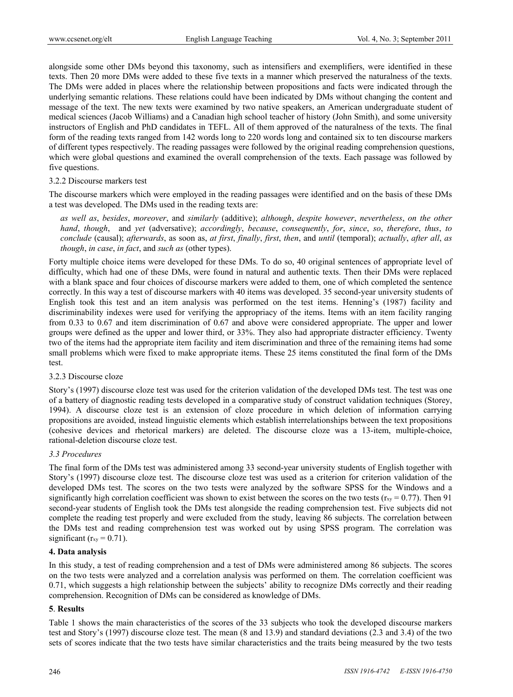alongside some other DMs beyond this taxonomy, such as intensifiers and exemplifiers, were identified in these texts. Then 20 more DMs were added to these five texts in a manner which preserved the naturalness of the texts. The DMs were added in places where the relationship between propositions and facts were indicated through the underlying semantic relations. These relations could have been indicated by DMs without changing the content and message of the text. The new texts were examined by two native speakers, an American undergraduate student of medical sciences (Jacob Williams) and a Canadian high school teacher of history (John Smith), and some university instructors of English and PhD candidates in TEFL. All of them approved of the naturalness of the texts. The final form of the reading texts ranged from 142 words long to 220 words long and contained six to ten discourse markers of different types respectively. The reading passages were followed by the original reading comprehension questions, which were global questions and examined the overall comprehension of the texts. Each passage was followed by five questions.

#### 3.2.2 Discourse markers test

The discourse markers which were employed in the reading passages were identified and on the basis of these DMs a test was developed. The DMs used in the reading texts are:

*as well as*, *besides*, *moreover*, and *similarly* (additive); *although*, *despite however*, *nevertheless*, *on the other hand*, *though*, and *yet* (adversative); *accordingly*, *because*, *consequently*, *for*, *since*, *so*, *therefore*, *thus*, *to conclude* (causal); *afterwards*, as soon as, *at first*, *finally*, *first*, *then*, and *until* (temporal); *actually*, *after all*, *as though*, *in case*, *in fact*, and *such as* (other types).

Forty multiple choice items were developed for these DMs. To do so, 40 original sentences of appropriate level of difficulty, which had one of these DMs, were found in natural and authentic texts. Then their DMs were replaced with a blank space and four choices of discourse markers were added to them, one of which completed the sentence correctly. In this way a test of discourse markers with 40 items was developed. 35 second-year university students of English took this test and an item analysis was performed on the test items. Henning's (1987) facility and discriminability indexes were used for verifying the appropriacy of the items. Items with an item facility ranging from 0.33 to 0.67 and item discrimination of 0.67 and above were considered appropriate. The upper and lower groups were defined as the upper and lower third, or 33%. They also had appropriate distracter efficiency. Twenty two of the items had the appropriate item facility and item discrimination and three of the remaining items had some small problems which were fixed to make appropriate items. These 25 items constituted the final form of the DMs test.

### 3.2.3 Discourse cloze

Story's (1997) discourse cloze test was used for the criterion validation of the developed DMs test. The test was one of a battery of diagnostic reading tests developed in a comparative study of construct validation techniques (Storey, 1994). A discourse cloze test is an extension of cloze procedure in which deletion of information carrying propositions are avoided, instead linguistic elements which establish interrelationships between the text propositions (cohesive devices and rhetorical markers) are deleted. The discourse cloze was a 13-item, multiple-choice, rational-deletion discourse cloze test.

## *3.3 Procedures*

The final form of the DMs test was administered among 33 second-year university students of English together with Story's (1997) discourse cloze test. The discourse cloze test was used as a criterion for criterion validation of the developed DMs test. The scores on the two tests were analyzed by the software SPSS for the Windows and a significantly high correlation coefficient was shown to exist between the scores on the two tests ( $r_{xy} = 0.77$ ). Then 91 second-year students of English took the DMs test alongside the reading comprehension test. Five subjects did not complete the reading test properly and were excluded from the study, leaving 86 subjects. The correlation between the DMs test and reading comprehension test was worked out by using SPSS program. The correlation was significant ( $r_{xy} = 0.71$ ).

#### **4. Data analysis**

In this study, a test of reading comprehension and a test of DMs were administered among 86 subjects. The scores on the two tests were analyzed and a correlation analysis was performed on them. The correlation coefficient was 0.71, which suggests a high relationship between the subjects' ability to recognize DMs correctly and their reading comprehension. Recognition of DMs can be considered as knowledge of DMs.

#### **5**. **Results**

Table 1 shows the main characteristics of the scores of the 33 subjects who took the developed discourse markers test and Story's (1997) discourse cloze test. The mean (8 and 13.9) and standard deviations (2.3 and 3.4) of the two sets of scores indicate that the two tests have similar characteristics and the traits being measured by the two tests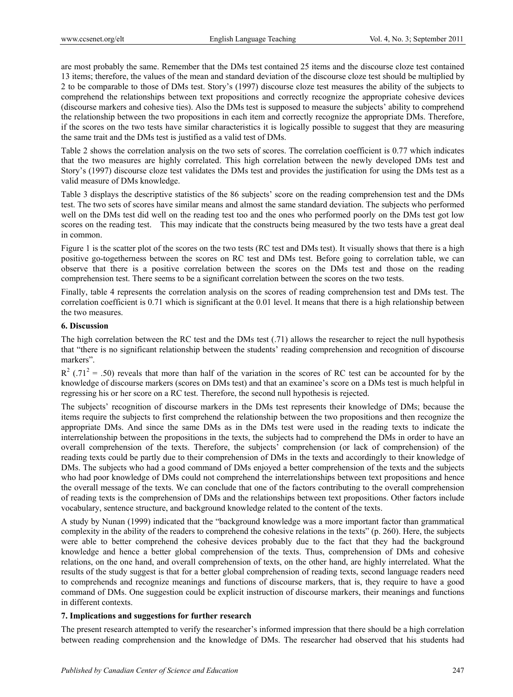are most probably the same. Remember that the DMs test contained 25 items and the discourse cloze test contained 13 items; therefore, the values of the mean and standard deviation of the discourse cloze test should be multiplied by 2 to be comparable to those of DMs test. Story's (1997) discourse cloze test measures the ability of the subjects to comprehend the relationships between text propositions and correctly recognize the appropriate cohesive devices (discourse markers and cohesive ties). Also the DMs test is supposed to measure the subjects' ability to comprehend the relationship between the two propositions in each item and correctly recognize the appropriate DMs. Therefore, if the scores on the two tests have similar characteristics it is logically possible to suggest that they are measuring the same trait and the DMs test is justified as a valid test of DMs.

Table 2 shows the correlation analysis on the two sets of scores. The correlation coefficient is 0.77 which indicates that the two measures are highly correlated. This high correlation between the newly developed DMs test and Story's (1997) discourse cloze test validates the DMs test and provides the justification for using the DMs test as a valid measure of DMs knowledge.

Table 3 displays the descriptive statistics of the 86 subjects' score on the reading comprehension test and the DMs test. The two sets of scores have similar means and almost the same standard deviation. The subjects who performed well on the DMs test did well on the reading test too and the ones who performed poorly on the DMs test got low scores on the reading test. This may indicate that the constructs being measured by the two tests have a great deal in common.

Figure 1 is the scatter plot of the scores on the two tests (RC test and DMs test). It visually shows that there is a high positive go-togetherness between the scores on RC test and DMs test. Before going to correlation table, we can observe that there is a positive correlation between the scores on the DMs test and those on the reading comprehension test. There seems to be a significant correlation between the scores on the two tests.

Finally, table 4 represents the correlation analysis on the scores of reading comprehension test and DMs test. The correlation coefficient is 0.71 which is significant at the 0.01 level. It means that there is a high relationship between the two measures.

# **6. Discussion**

The high correlation between the RC test and the DMs test (.71) allows the researcher to reject the null hypothesis that "there is no significant relationship between the students' reading comprehension and recognition of discourse markers".

 $R^2$  (.71<sup>2</sup> = .50) reveals that more than half of the variation in the scores of RC test can be accounted for by the knowledge of discourse markers (scores on DMs test) and that an examinee's score on a DMs test is much helpful in regressing his or her score on a RC test. Therefore, the second null hypothesis is rejected.

The subjects' recognition of discourse markers in the DMs test represents their knowledge of DMs; because the items require the subjects to first comprehend the relationship between the two propositions and then recognize the appropriate DMs. And since the same DMs as in the DMs test were used in the reading texts to indicate the interrelationship between the propositions in the texts, the subjects had to comprehend the DMs in order to have an overall comprehension of the texts. Therefore, the subjects' comprehension (or lack of comprehension) of the reading texts could be partly due to their comprehension of DMs in the texts and accordingly to their knowledge of DMs. The subjects who had a good command of DMs enjoyed a better comprehension of the texts and the subjects who had poor knowledge of DMs could not comprehend the interrelationships between text propositions and hence the overall message of the texts. We can conclude that one of the factors contributing to the overall comprehension of reading texts is the comprehension of DMs and the relationships between text propositions. Other factors include vocabulary, sentence structure, and background knowledge related to the content of the texts.

A study by Nunan (1999) indicated that the "background knowledge was a more important factor than grammatical complexity in the ability of the readers to comprehend the cohesive relations in the texts" (p. 260). Here, the subjects were able to better comprehend the cohesive devices probably due to the fact that they had the background knowledge and hence a better global comprehension of the texts. Thus, comprehension of DMs and cohesive relations, on the one hand, and overall comprehension of texts, on the other hand, are highly interrelated. What the results of the study suggest is that for a better global comprehension of reading texts, second language readers need to comprehends and recognize meanings and functions of discourse markers, that is, they require to have a good command of DMs. One suggestion could be explicit instruction of discourse markers, their meanings and functions in different contexts.

# **7. Implications and suggestions for further research**

The present research attempted to verify the researcher's informed impression that there should be a high correlation between reading comprehension and the knowledge of DMs. The researcher had observed that his students had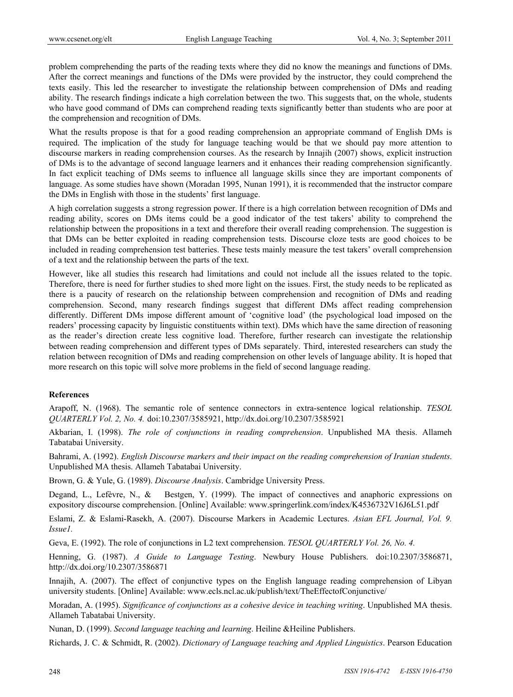problem comprehending the parts of the reading texts where they did no know the meanings and functions of DMs. After the correct meanings and functions of the DMs were provided by the instructor, they could comprehend the texts easily. This led the researcher to investigate the relationship between comprehension of DMs and reading ability. The research findings indicate a high correlation between the two. This suggests that, on the whole, students who have good command of DMs can comprehend reading texts significantly better than students who are poor at the comprehension and recognition of DMs.

What the results propose is that for a good reading comprehension an appropriate command of English DMs is required. The implication of the study for language teaching would be that we should pay more attention to discourse markers in reading comprehension courses. As the research by Innajih (2007) shows, explicit instruction of DMs is to the advantage of second language learners and it enhances their reading comprehension significantly. In fact explicit teaching of DMs seems to influence all language skills since they are important components of language. As some studies have shown (Moradan 1995, Nunan 1991), it is recommended that the instructor compare the DMs in English with those in the students' first language.

A high correlation suggests a strong regression power. If there is a high correlation between recognition of DMs and reading ability, scores on DMs items could be a good indicator of the test takers' ability to comprehend the relationship between the propositions in a text and therefore their overall reading comprehension. The suggestion is that DMs can be better exploited in reading comprehension tests. Discourse cloze tests are good choices to be included in reading comprehension test batteries. These tests mainly measure the test takers' overall comprehension of a text and the relationship between the parts of the text.

However, like all studies this research had limitations and could not include all the issues related to the topic. Therefore, there is need for further studies to shed more light on the issues. First, the study needs to be replicated as there is a paucity of research on the relationship between comprehension and recognition of DMs and reading comprehension. Second, many research findings suggest that different DMs affect reading comprehension differently. Different DMs impose different amount of 'cognitive load' (the psychological load imposed on the readers' processing capacity by linguistic constituents within text). DMs which have the same direction of reasoning as the reader's direction create less cognitive load. Therefore, further research can investigate the relationship between reading comprehension and different types of DMs separately. Third, interested researchers can study the relation between recognition of DMs and reading comprehension on other levels of language ability. It is hoped that more research on this topic will solve more problems in the field of second language reading.

## **References**

Arapoff, N. (1968). The semantic role of sentence connectors in extra-sentence logical relationship. *TESOL QUARTERLY Vol. 2, No. 4.* doi:10.2307/3585921, http://dx.doi.org/10.2307/3585921

Akbarian, I. (1998). *The role of conjunctions in reading comprehension*. Unpublished MA thesis. Allameh Tabatabai University.

Bahrami, A. (1992). *English Discourse markers and their impact on the reading comprehension of Iranian students*. Unpublished MA thesis. Allameh Tabatabai University.

Brown, G. & Yule, G. (1989). *Discourse Analysis*. Cambridge University Press.

Degand, L., Lefèvre, N., & Bestgen, Y. (1999). The impact of connectives and anaphoric expressions on expository discourse comprehension. [Online] Available: www.springerlink.com/index/K4536732V16J6L51.pdf

Eslami, Z. & Eslami-Rasekh, A. (2007). Discourse Markers in Academic Lectures. *Asian EFL Journal, Vol. 9. Issue1.* 

Geva, E. (1992). The role of conjunctions in L2 text comprehension. *TESOL QUARTERLY Vol. 26, No. 4.* 

Henning, G. (1987). *A Guide to Language Testing*. Newbury House Publishers. doi:10.2307/3586871, http://dx.doi.org/10.2307/3586871

Innajih, A. (2007). The effect of conjunctive types on the English language reading comprehension of Libyan university students. [Online] Available: www.ecls.ncl.ac.uk/publish/text/TheEffectofConjunctive/

Moradan, A. (1995). *Significance of conjunctions as a cohesive device in teaching writing*. Unpublished MA thesis. Allameh Tabatabai University.

Nunan, D. (1999). *Second language teaching and learning*. Heiline &Heiline Publishers.

Richards, J. C. & Schmidt, R. (2002). *Dictionary of Language teaching and Applied Linguistics*. Pearson Education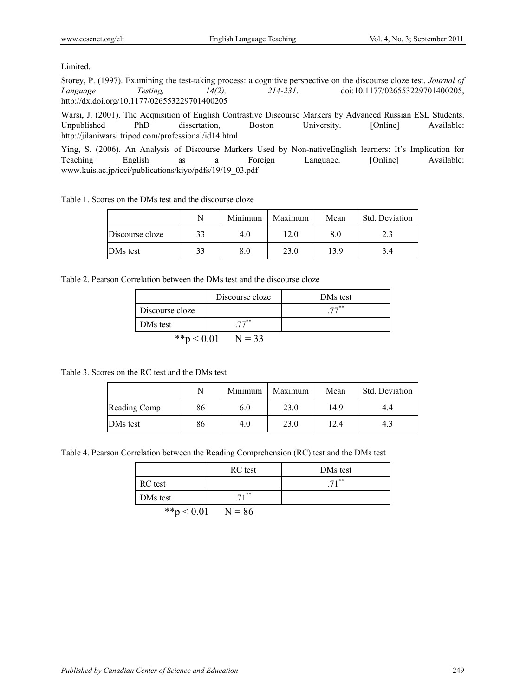Limited.

Storey, P. (1997). Examining the test-taking process: a cognitive perspective on the discourse cloze test. *Journal of Language Testing, 14(2), 214-231*. doi:10.1177/026553229701400205, http://dx.doi.org/10.1177/026553229701400205

Warsi, J. (2001). The Acquisition of English Contrastive Discourse Markers by Advanced Russian ESL Students. Unpublished PhD dissertation, Boston University. [Online] Available: http://jilaniwarsi.tripod.com/professional/id14.html

Ying, S. (2006). An Analysis of Discourse Markers Used by Non-nativeEnglish learners: It's Implication for Teaching English as a Foreign Language. [Online] Available: www.kuis.ac.jp/icci/publications/kiyo/pdfs/19/19\_03.pdf

Table 1. Scores on the DMs test and the discourse cloze

|                      | N  | Minimum | Maximum | Mean | Std. Deviation |
|----------------------|----|---------|---------|------|----------------|
| Discourse cloze      | 33 | 4.0     | 12.0    | 8.0  | ر. ے           |
| DM <sub>s</sub> test | 33 | 8.0     | 23.0    | 13.9 | 3.4            |

Table 2. Pearson Correlation between the DMs test and the discourse cloze

|                          | Discourse cloze | DM <sub>s</sub> test |  |  |
|--------------------------|-----------------|----------------------|--|--|
| Discourse cloze          |                 | $77***$              |  |  |
| DMs test                 | $77***$         |                      |  |  |
| **p $< 0.01$<br>$N = 33$ |                 |                      |  |  |

Table 3. Scores on the RC test and the DMs test

|                      | N  | Minimum | Maximum | Mean | Std. Deviation |
|----------------------|----|---------|---------|------|----------------|
| Reading Comp         | 86 | 6.0     | 23.0    | 14.9 | 4.4            |
| DM <sub>s</sub> test | 86 | 4.0     | 23.0    | 12.4 | 4.3            |

Table 4. Pearson Correlation between the Reading Comprehension (RC) test and the DMs test

|                      | RC test | DM <sub>s</sub> test |
|----------------------|---------|----------------------|
| RC test              |         | $71***$              |
| DM <sub>s</sub> test | $71***$ |                      |
| .                    |         |                      |

\*\*p < 0.01  $N = 86$